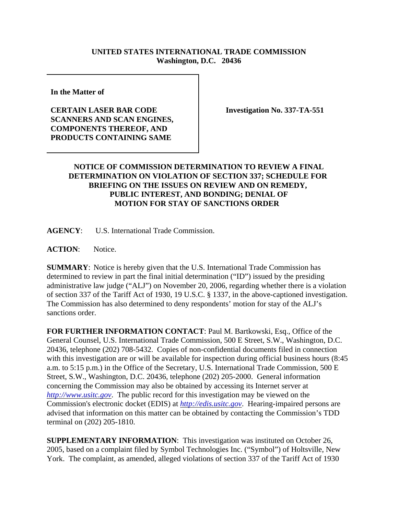## **UNITED STATES INTERNATIONAL TRADE COMMISSION Washington, D.C. 20436**

**In the Matter of** 

**CERTAIN LASER BAR CODE SCANNERS AND SCAN ENGINES, COMPONENTS THEREOF, AND PRODUCTS CONTAINING SAME**

**Investigation No. 337-TA-551**

## **NOTICE OF COMMISSION DETERMINATION TO REVIEW A FINAL DETERMINATION ON VIOLATION OF SECTION 337; SCHEDULE FOR BRIEFING ON THE ISSUES ON REVIEW AND ON REMEDY, PUBLIC INTEREST, AND BONDING; DENIAL OF MOTION FOR STAY OF SANCTIONS ORDER**

**AGENCY**: U.S. International Trade Commission.

**ACTION**: Notice.

**SUMMARY**: Notice is hereby given that the U.S. International Trade Commission has determined to review in part the final initial determination ("ID") issued by the presiding administrative law judge ("ALJ") on November 20, 2006, regarding whether there is a violation of section 337 of the Tariff Act of 1930, 19 U.S.C. § 1337, in the above-captioned investigation. The Commission has also determined to deny respondents' motion for stay of the ALJ's sanctions order.

**FOR FURTHER INFORMATION CONTACT**: Paul M. Bartkowski, Esq., Office of the General Counsel, U.S. International Trade Commission, 500 E Street, S.W., Washington, D.C. 20436, telephone (202) 708-5432. Copies of non-confidential documents filed in connection with this investigation are or will be available for inspection during official business hours (8:45) a.m. to 5:15 p.m.) in the Office of the Secretary, U.S. International Trade Commission, 500 E Street, S.W., Washington, D.C. 20436, telephone (202) 205-2000. General information concerning the Commission may also be obtained by accessing its Internet server at *http://www.usitc.gov*. The public record for this investigation may be viewed on the Commission's electronic docket (EDIS) at *http://edis.usitc.gov*. Hearing-impaired persons are advised that information on this matter can be obtained by contacting the Commission's TDD terminal on (202) 205-1810.

**SUPPLEMENTARY INFORMATION**: This investigation was instituted on October 26, 2005, based on a complaint filed by Symbol Technologies Inc. ("Symbol") of Holtsville, New York. The complaint, as amended, alleged violations of section 337 of the Tariff Act of 1930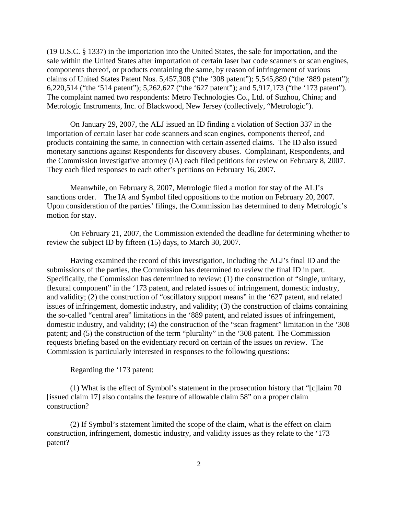(19 U.S.C. § 1337) in the importation into the United States, the sale for importation, and the sale within the United States after importation of certain laser bar code scanners or scan engines, components thereof, or products containing the same, by reason of infringement of various claims of United States Patent Nos. 5,457,308 ("the '308 patent"); 5,545,889 ("the '889 patent"); 6,220,514 ("the '514 patent"); 5,262,627 ("the '627 patent"); and 5,917,173 ("the '173 patent"). The complaint named two respondents: Metro Technologies Co., Ltd. of Suzhou, China; and Metrologic Instruments, Inc. of Blackwood, New Jersey (collectively, "Metrologic").

On January 29, 2007, the ALJ issued an ID finding a violation of Section 337 in the importation of certain laser bar code scanners and scan engines, components thereof, and products containing the same, in connection with certain asserted claims. The ID also issued monetary sanctions against Respondents for discovery abuses. Complainant, Respondents, and the Commission investigative attorney (IA) each filed petitions for review on February 8, 2007. They each filed responses to each other's petitions on February 16, 2007.

Meanwhile, on February 8, 2007, Metrologic filed a motion for stay of the ALJ's sanctions order. The IA and Symbol filed oppositions to the motion on February 20, 2007. Upon consideration of the parties' filings, the Commission has determined to deny Metrologic's motion for stay.

On February 21, 2007, the Commission extended the deadline for determining whether to review the subject ID by fifteen (15) days, to March 30, 2007.

Having examined the record of this investigation, including the ALJ's final ID and the submissions of the parties, the Commission has determined to review the final ID in part. Specifically, the Commission has determined to review: (1) the construction of "single, unitary, flexural component" in the '173 patent, and related issues of infringement, domestic industry, and validity; (2) the construction of "oscillatory support means" in the '627 patent, and related issues of infringement, domestic industry, and validity; (3) the construction of claims containing the so-called "central area" limitations in the '889 patent, and related issues of infringement, domestic industry, and validity; (4) the construction of the "scan fragment" limitation in the '308 patent; and (5) the construction of the term "plurality" in the '308 patent. The Commission requests briefing based on the evidentiary record on certain of the issues on review. The Commission is particularly interested in responses to the following questions:

Regarding the '173 patent:

(1) What is the effect of Symbol's statement in the prosecution history that "[c]laim 70 [issued claim 17] also contains the feature of allowable claim 58" on a proper claim construction?

(2) If Symbol's statement limited the scope of the claim, what is the effect on claim construction, infringement, domestic industry, and validity issues as they relate to the '173 patent?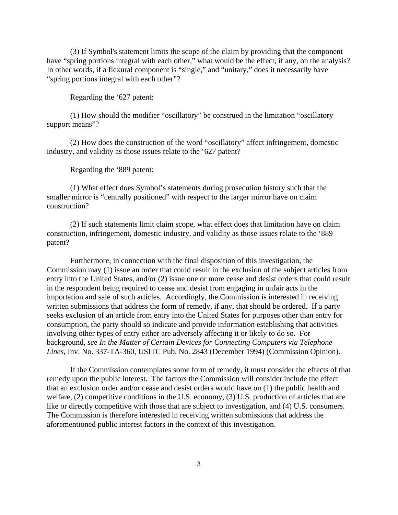(3) If Symbol's statement limits the scope of the claim by providing that the component have "spring portions integral with each other," what would be the effect, if any, on the analysis? In other words, if a flexural component is "single," and "unitary," does it necessarily have "spring portions integral with each other"?

Regarding the '627 patent:

(1) How should the modifier "oscillatory" be construed in the limitation "oscillatory support means"?

(2) How does the construction of the word "oscillatory" affect infringement, domestic industry, and validity as those issues relate to the '627 patent?

Regarding the '889 patent:

(1) What effect does Symbol's statements during prosecution history such that the smaller mirror is "centrally positioned" with respect to the larger mirror have on claim construction?

(2) If such statements limit claim scope, what effect does that limitation have on claim construction, infringement, domestic industry, and validity as those issues relate to the '889 patent?

Furthermore, in connection with the final disposition of this investigation, the Commission may (1) issue an order that could result in the exclusion of the subject articles from entry into the United States, and/or (2) issue one or more cease and desist orders that could result in the respondent being required to cease and desist from engaging in unfair acts in the importation and sale of such articles. Accordingly, the Commission is interested in receiving written submissions that address the form of remedy, if any, that should be ordered. If a party seeks exclusion of an article from entry into the United States for purposes other than entry for consumption, the party should so indicate and provide information establishing that activities involving other types of entry either are adversely affecting it or likely to do so. For background, *see In the Matter of Certain Devices for Connecting Computers via Telephone Lines*, Inv. No. 337-TA-360, USITC Pub. No. 2843 (December 1994) (Commission Opinion).

If the Commission contemplates some form of remedy, it must consider the effects of that remedy upon the public interest. The factors the Commission will consider include the effect that an exclusion order and/or cease and desist orders would have on (1) the public health and welfare, (2) competitive conditions in the U.S. economy, (3) U.S. production of articles that are like or directly competitive with those that are subject to investigation, and (4) U.S. consumers. The Commission is therefore interested in receiving written submissions that address the aforementioned public interest factors in the context of this investigation.